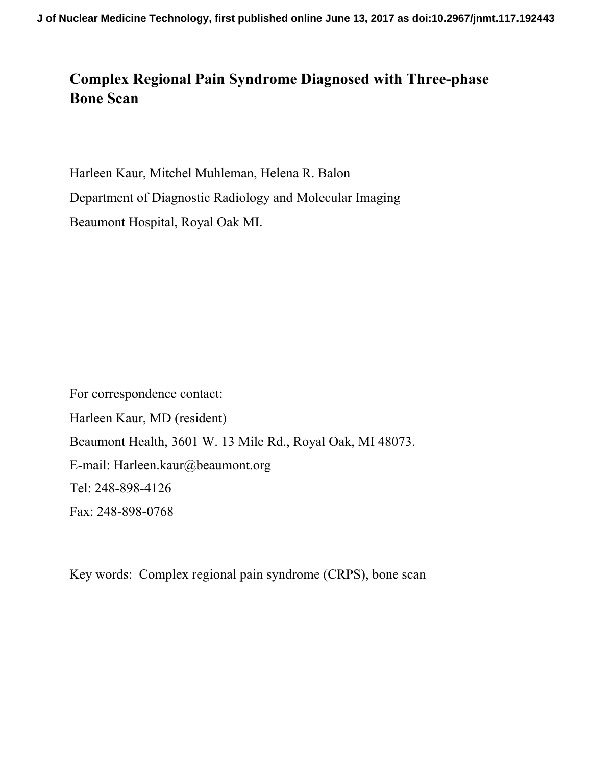#### **Complex Regional Pain Syndrome Diagnosed with Three-phase Bone Scan**

Harleen Kaur, Mitchel Muhleman, Helena R. Balon Department of Diagnostic Radiology and Molecular Imaging Beaumont Hospital, Royal Oak MI.

For correspondence contact: Harleen Kaur, MD (resident) Beaumont Health, 3601 W. 13 Mile Rd., Royal Oak, MI 48073. E-mail: Harleen.kaur@beaumont.org Tel: 248-898-4126 Fax: 248-898-0768

Key words: Complex regional pain syndrome (CRPS), bone scan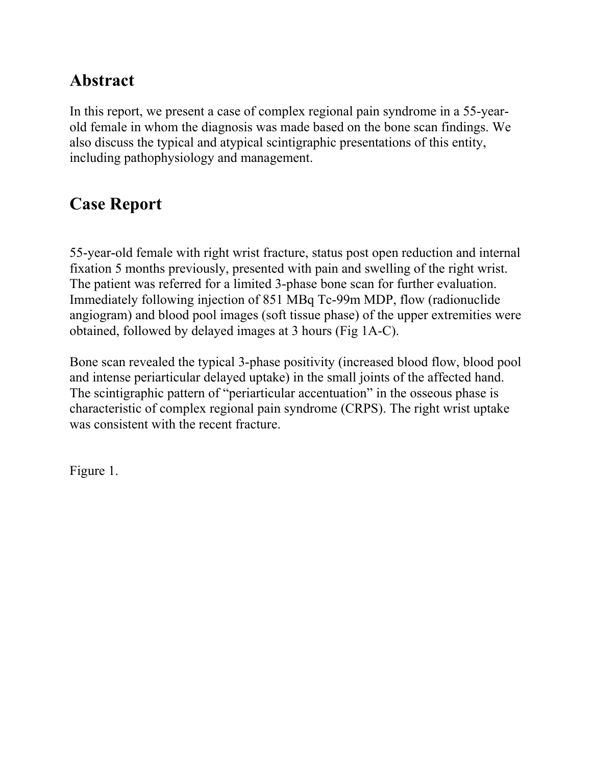### **Abstract**

In this report, we present a case of complex regional pain syndrome in a 55-yearold female in whom the diagnosis was made based on the bone scan findings. We also discuss the typical and atypical scintigraphic presentations of this entity, including pathophysiology and management.

# **Case Report**

55-year-old female with right wrist fracture, status post open reduction and internal fixation 5 months previously, presented with pain and swelling of the right wrist. The patient was referred for a limited 3-phase bone scan for further evaluation. Immediately following injection of 851 MBq Tc-99m MDP, flow (radionuclide angiogram) and blood pool images (soft tissue phase) of the upper extremities were obtained, followed by delayed images at 3 hours (Fig 1A-C).

Bone scan revealed the typical 3-phase positivity (increased blood flow, blood pool and intense periarticular delayed uptake) in the small joints of the affected hand. The scintigraphic pattern of "periarticular accentuation" in the osseous phase is characteristic of complex regional pain syndrome (CRPS). The right wrist uptake was consistent with the recent fracture.

Figure 1.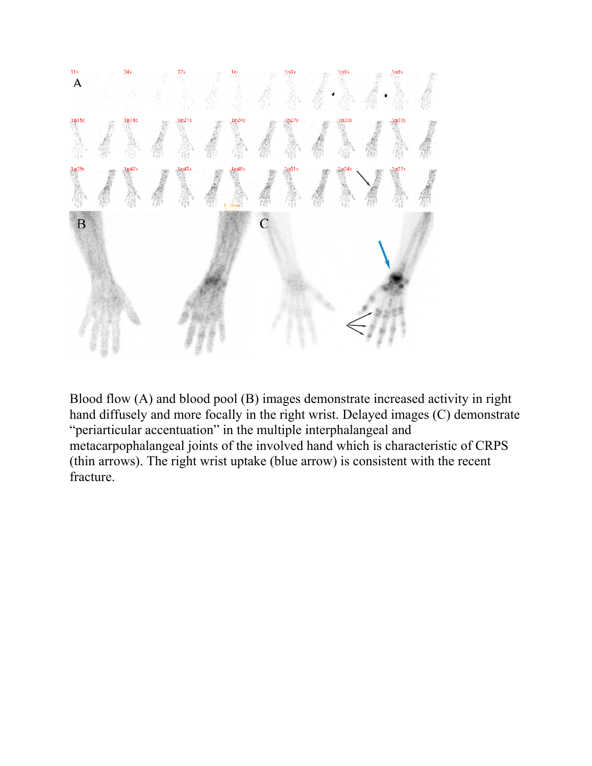

Blood flow (A) and blood pool (B) images demonstrate increased activity in right hand diffusely and more focally in the right wrist. Delayed images (C) demonstrate "periarticular accentuation" in the multiple interphalangeal and metacarpophalangeal joints of the involved hand which is characteristic of CRPS (thin arrows). The right wrist uptake (blue arrow) is consistent with the recent fracture.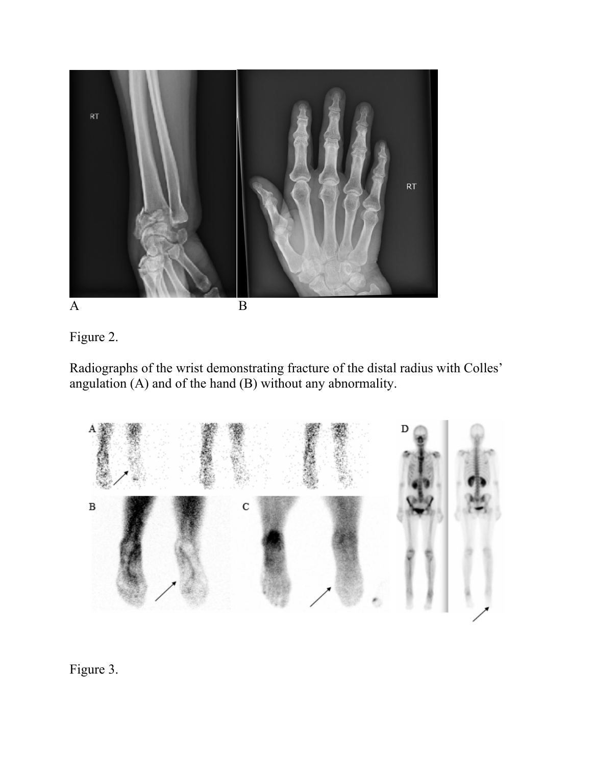



Radiographs of the wrist demonstrating fracture of the distal radius with Colles' angulation (A) and of the hand (B) without any abnormality.



#### Figure 3.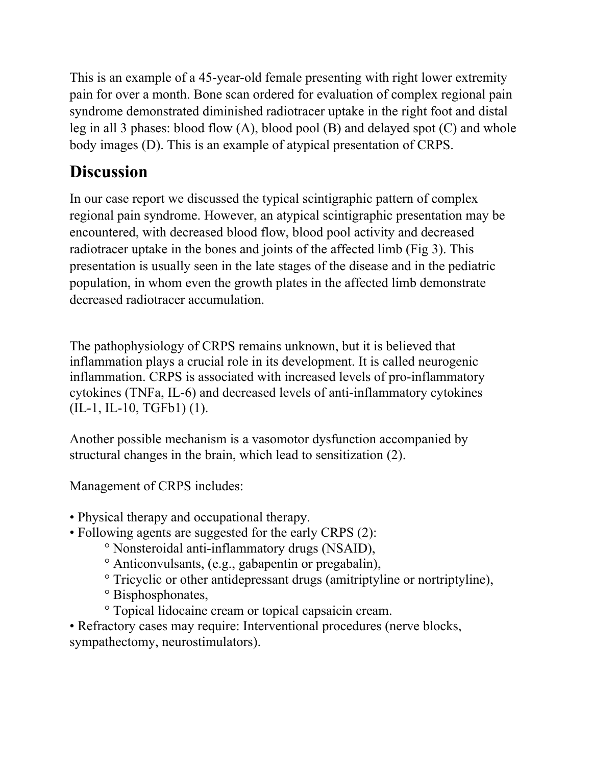This is an example of a 45-year-old female presenting with right lower extremity pain for over a month. Bone scan ordered for evaluation of complex regional pain syndrome demonstrated diminished radiotracer uptake in the right foot and distal leg in all 3 phases: blood flow (A), blood pool (B) and delayed spot (C) and whole body images (D). This is an example of atypical presentation of CRPS.

# **Discussion**

In our case report we discussed the typical scintigraphic pattern of complex regional pain syndrome. However, an atypical scintigraphic presentation may be encountered, with decreased blood flow, blood pool activity and decreased radiotracer uptake in the bones and joints of the affected limb (Fig 3). This presentation is usually seen in the late stages of the disease and in the pediatric population, in whom even the growth plates in the affected limb demonstrate decreased radiotracer accumulation.

The pathophysiology of CRPS remains unknown, but it is believed that inflammation plays a crucial role in its development. It is called neurogenic inflammation. CRPS is associated with increased levels of pro-inflammatory cytokines (TNFa, IL-6) and decreased levels of anti-inflammatory cytokines (IL-1, IL-10, TGFb1) (1).

Another possible mechanism is a vasomotor dysfunction accompanied by structural changes in the brain, which lead to sensitization (2).

Management of CRPS includes:

- Physical therapy and occupational therapy.
- Following agents are suggested for the early CRPS (2):
	- ° Nonsteroidal anti-inflammatory drugs (NSAID),
	- ° Anticonvulsants, (e.g., gabapentin or pregabalin),
	- ° Tricyclic or other antidepressant drugs (amitriptyline or nortriptyline),
	- ° Bisphosphonates,
	- ° Topical lidocaine cream or topical capsaicin cream.

• Refractory cases may require: Interventional procedures (nerve blocks, sympathectomy, neurostimulators).